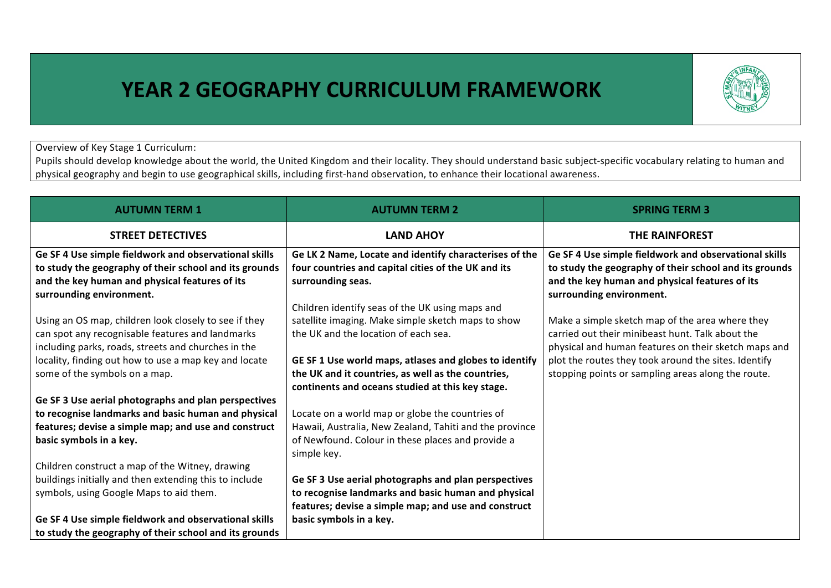## **YEAR 2 GEOGRAPHY CURRICULUM FRAMEWORK**



Overview of Key Stage 1 Curriculum:

Pupils should develop knowledge about the world, the United Kingdom and their locality. They should understand basic subject-specific vocabulary relating to human and physical geography and begin to use geographical skills, including first-hand observation, to enhance their locational awareness.

| <b>AUTUMN TERM 1</b>                                                                                                                                                                                                                                       | <b>AUTUMN TERM 2</b>                                                                                                                                                                                                                                           | <b>SPRING TERM 3</b>                                                                                                                                                                                                                                                      |  |
|------------------------------------------------------------------------------------------------------------------------------------------------------------------------------------------------------------------------------------------------------------|----------------------------------------------------------------------------------------------------------------------------------------------------------------------------------------------------------------------------------------------------------------|---------------------------------------------------------------------------------------------------------------------------------------------------------------------------------------------------------------------------------------------------------------------------|--|
| <b>STREET DETECTIVES</b>                                                                                                                                                                                                                                   | <b>LAND AHOY</b>                                                                                                                                                                                                                                               | <b>THE RAINFOREST</b>                                                                                                                                                                                                                                                     |  |
| Ge SF 4 Use simple fieldwork and observational skills<br>to study the geography of their school and its grounds<br>and the key human and physical features of its<br>surrounding environment.                                                              | Ge LK 2 Name, Locate and identify characterises of the<br>four countries and capital cities of the UK and its<br>surrounding seas.<br>Children identify seas of the UK using maps and                                                                          | Ge SF 4 Use simple fieldwork and observational skills<br>to study the geography of their school and its grounds<br>and the key human and physical features of its<br>surrounding environment.                                                                             |  |
| Using an OS map, children look closely to see if they<br>can spot any recognisable features and landmarks<br>including parks, roads, streets and churches in the<br>locality, finding out how to use a map key and locate<br>some of the symbols on a map. | satellite imaging. Make simple sketch maps to show<br>the UK and the location of each sea.<br>GE SF 1 Use world maps, atlases and globes to identify<br>the UK and it countries, as well as the countries,<br>continents and oceans studied at this key stage. | Make a simple sketch map of the area where they<br>carried out their minibeast hunt. Talk about the<br>physical and human features on their sketch maps and<br>plot the routes they took around the sites. Identify<br>stopping points or sampling areas along the route. |  |
| Ge SF 3 Use aerial photographs and plan perspectives                                                                                                                                                                                                       |                                                                                                                                                                                                                                                                |                                                                                                                                                                                                                                                                           |  |
| to recognise landmarks and basic human and physical<br>features; devise a simple map; and use and construct<br>basic symbols in a key.                                                                                                                     | Locate on a world map or globe the countries of<br>Hawaii, Australia, New Zealand, Tahiti and the province<br>of Newfound. Colour in these places and provide a<br>simple key.                                                                                 |                                                                                                                                                                                                                                                                           |  |
| Children construct a map of the Witney, drawing                                                                                                                                                                                                            |                                                                                                                                                                                                                                                                |                                                                                                                                                                                                                                                                           |  |
| buildings initially and then extending this to include                                                                                                                                                                                                     | Ge SF 3 Use aerial photographs and plan perspectives                                                                                                                                                                                                           |                                                                                                                                                                                                                                                                           |  |
| symbols, using Google Maps to aid them.                                                                                                                                                                                                                    | to recognise landmarks and basic human and physical<br>features; devise a simple map; and use and construct                                                                                                                                                    |                                                                                                                                                                                                                                                                           |  |
| Ge SF 4 Use simple fieldwork and observational skills                                                                                                                                                                                                      | basic symbols in a key.                                                                                                                                                                                                                                        |                                                                                                                                                                                                                                                                           |  |
| to study the geography of their school and its grounds                                                                                                                                                                                                     |                                                                                                                                                                                                                                                                |                                                                                                                                                                                                                                                                           |  |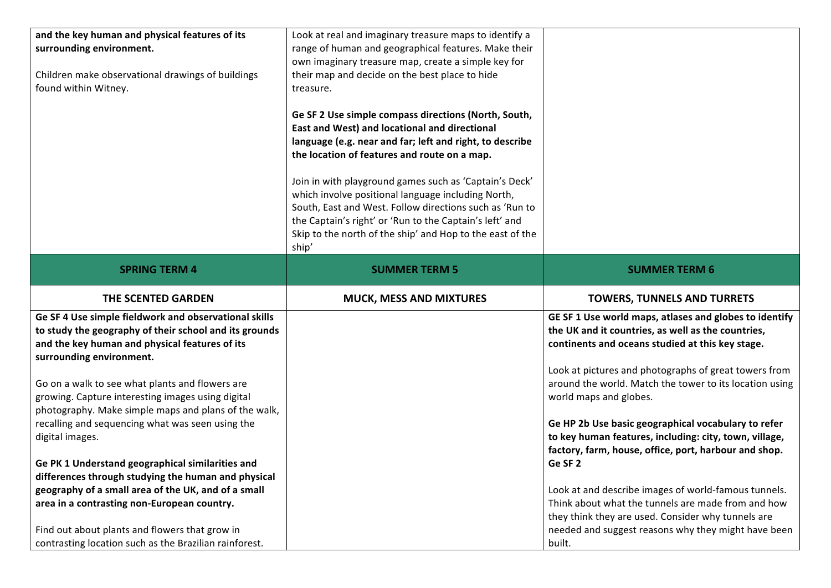| and the key human and physical features of its<br>surrounding environment.<br>Children make observational drawings of buildings<br>found within Witney.                                       | Look at real and imaginary treasure maps to identify a<br>range of human and geographical features. Make their<br>own imaginary treasure map, create a simple key for<br>their map and decide on the best place to hide<br>treasure.<br>Ge SF 2 Use simple compass directions (North, South,<br>East and West) and locational and directional<br>language (e.g. near and far; left and right, to describe<br>the location of features and route on a map.<br>Join in with playground games such as 'Captain's Deck'<br>which involve positional language including North,<br>South, East and West. Follow directions such as 'Run to<br>the Captain's right' or 'Run to the Captain's left' and<br>Skip to the north of the ship' and Hop to the east of the<br>ship' |                                                                                                                                                                        |
|-----------------------------------------------------------------------------------------------------------------------------------------------------------------------------------------------|-----------------------------------------------------------------------------------------------------------------------------------------------------------------------------------------------------------------------------------------------------------------------------------------------------------------------------------------------------------------------------------------------------------------------------------------------------------------------------------------------------------------------------------------------------------------------------------------------------------------------------------------------------------------------------------------------------------------------------------------------------------------------|------------------------------------------------------------------------------------------------------------------------------------------------------------------------|
| <b>SPRING TERM 4</b>                                                                                                                                                                          | <b>SUMMER TERM 5</b>                                                                                                                                                                                                                                                                                                                                                                                                                                                                                                                                                                                                                                                                                                                                                  | <b>SUMMER TERM 6</b>                                                                                                                                                   |
| THE SCENTED GARDEN                                                                                                                                                                            | <b>MUCK, MESS AND MIXTURES</b>                                                                                                                                                                                                                                                                                                                                                                                                                                                                                                                                                                                                                                                                                                                                        | <b>TOWERS, TUNNELS AND TURRETS</b>                                                                                                                                     |
| Ge SF 4 Use simple fieldwork and observational skills<br>to study the geography of their school and its grounds<br>and the key human and physical features of its<br>surrounding environment. |                                                                                                                                                                                                                                                                                                                                                                                                                                                                                                                                                                                                                                                                                                                                                                       | GE SF 1 Use world maps, atlases and globes to identify<br>the UK and it countries, as well as the countries,<br>continents and oceans studied at this key stage.       |
| Go on a walk to see what plants and flowers are<br>growing. Capture interesting images using digital<br>photography. Make simple maps and plans of the walk,                                  |                                                                                                                                                                                                                                                                                                                                                                                                                                                                                                                                                                                                                                                                                                                                                                       | Look at pictures and photographs of great towers from<br>around the world. Match the tower to its location using<br>world maps and globes.                             |
| recalling and sequencing what was seen using the<br>digital images.                                                                                                                           |                                                                                                                                                                                                                                                                                                                                                                                                                                                                                                                                                                                                                                                                                                                                                                       | Ge HP 2b Use basic geographical vocabulary to refer<br>to key human features, including: city, town, village,<br>factory, farm, house, office, port, harbour and shop. |
| Ge PK 1 Understand geographical similarities and                                                                                                                                              |                                                                                                                                                                                                                                                                                                                                                                                                                                                                                                                                                                                                                                                                                                                                                                       | Ge SF <sub>2</sub>                                                                                                                                                     |
| differences through studying the human and physical                                                                                                                                           |                                                                                                                                                                                                                                                                                                                                                                                                                                                                                                                                                                                                                                                                                                                                                                       |                                                                                                                                                                        |
| geography of a small area of the UK, and of a small<br>area in a contrasting non-European country.                                                                                            |                                                                                                                                                                                                                                                                                                                                                                                                                                                                                                                                                                                                                                                                                                                                                                       | Look at and describe images of world-famous tunnels.<br>Think about what the tunnels are made from and how                                                             |
|                                                                                                                                                                                               |                                                                                                                                                                                                                                                                                                                                                                                                                                                                                                                                                                                                                                                                                                                                                                       | they think they are used. Consider why tunnels are                                                                                                                     |
| Find out about plants and flowers that grow in                                                                                                                                                |                                                                                                                                                                                                                                                                                                                                                                                                                                                                                                                                                                                                                                                                                                                                                                       | needed and suggest reasons why they might have been                                                                                                                    |
| contrasting location such as the Brazilian rainforest.                                                                                                                                        |                                                                                                                                                                                                                                                                                                                                                                                                                                                                                                                                                                                                                                                                                                                                                                       | built.                                                                                                                                                                 |